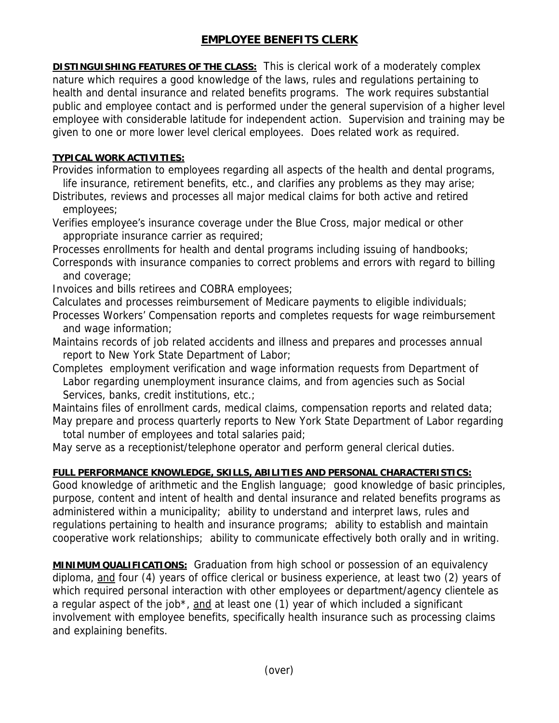## **EMPLOYEE BENEFITS CLERK**

**DISTINGUISHING FEATURES OF THE CLASS:** This is clerical work of a moderately complex nature which requires a good knowledge of the laws, rules and regulations pertaining to health and dental insurance and related benefits programs. The work requires substantial public and employee contact and is performed under the general supervision of a higher level employee with considerable latitude for independent action. Supervision and training may be given to one or more lower level clerical employees. Does related work as required.

## **TYPICAL WORK ACTIVITIES:**

Provides information to employees regarding all aspects of the health and dental programs, life insurance, retirement benefits, etc., and clarifies any problems as they may arise;

Distributes, reviews and processes all major medical claims for both active and retired employees;

Verifies employee's insurance coverage under the Blue Cross, major medical or other appropriate insurance carrier as required;

Processes enrollments for health and dental programs including issuing of handbooks;

Corresponds with insurance companies to correct problems and errors with regard to billing and coverage;

Invoices and bills retirees and COBRA employees;

Calculates and processes reimbursement of Medicare payments to eligible individuals;

Processes Workers' Compensation reports and completes requests for wage reimbursement and wage information;

Maintains records of job related accidents and illness and prepares and processes annual report to New York State Department of Labor;

Completes employment verification and wage information requests from Department of Labor regarding unemployment insurance claims, and from agencies such as Social Services, banks, credit institutions, etc.;

Maintains files of enrollment cards, medical claims, compensation reports and related data; May prepare and process quarterly reports to New York State Department of Labor regarding

 total number of employees and total salaries paid; May serve as a receptionist/telephone operator and perform general clerical duties.

## **FULL PERFORMANCE KNOWLEDGE, SKILLS, ABILITIES AND PERSONAL CHARACTERISTICS:**

Good knowledge of arithmetic and the English language; good knowledge of basic principles, purpose, content and intent of health and dental insurance and related benefits programs as administered within a municipality; ability to understand and interpret laws, rules and regulations pertaining to health and insurance programs; ability to establish and maintain cooperative work relationships; ability to communicate effectively both orally and in writing.

**MINIMUM QUALIFICATIONS:** Graduation from high school or possession of an equivalency diploma, and four (4) years of office clerical or business experience, at least two (2) years of which required personal interaction with other employees or department/agency clientele as a regular aspect of the job\*, and at least one (1) year of which included a significant involvement with employee benefits, specifically health insurance such as processing claims and explaining benefits.